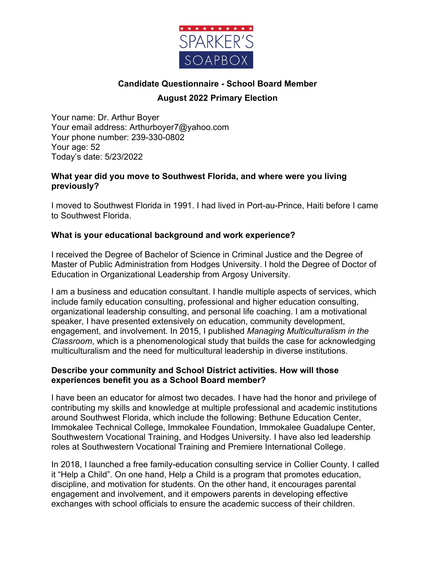

# **Candidate Questionnaire - School Board Member August 2022 Primary Election**

Your name: Dr. Arthur Boyer Your email address: Arthurboyer7@yahoo.com Your phone number: 239-330-0802 Your age: 52 Today's date: 5/23/2022

#### **What year did you move to Southwest Florida, and where were you living previously?**

I moved to Southwest Florida in 1991. I had lived in Port-au-Prince, Haiti before I came to Southwest Florida.

### **What is your educational background and work experience?**

I received the Degree of Bachelor of Science in Criminal Justice and the Degree of Master of Public Administration from Hodges University. I hold the Degree of Doctor of Education in Organizational Leadership from Argosy University.

I am a business and education consultant. I handle multiple aspects of services, which include family education consulting, professional and higher education consulting, organizational leadership consulting, and personal life coaching. I am a motivational speaker, I have presented extensively on education, community development, engagement, and involvement. In 2015, I published *Managing Multiculturalism in the Classroom*, which is a phenomenological study that builds the case for acknowledging multiculturalism and the need for multicultural leadership in diverse institutions.

### **Describe your community and School District activities. How will those experiences benefit you as a School Board member?**

I have been an educator for almost two decades. I have had the honor and privilege of contributing my skills and knowledge at multiple professional and academic institutions around Southwest Florida, which include the following: Bethune Education Center, Immokalee Technical College, Immokalee Foundation, Immokalee Guadalupe Center, Southwestern Vocational Training, and Hodges University. I have also led leadership roles at Southwestern Vocational Training and Premiere International College.

In 2018, I launched a free family-education consulting service in Collier County. I called it "Help a Child". On one hand, Help a Child is a program that promotes education, discipline, and motivation for students. On the other hand, it encourages parental engagement and involvement, and it empowers parents in developing effective exchanges with school officials to ensure the academic success of their children.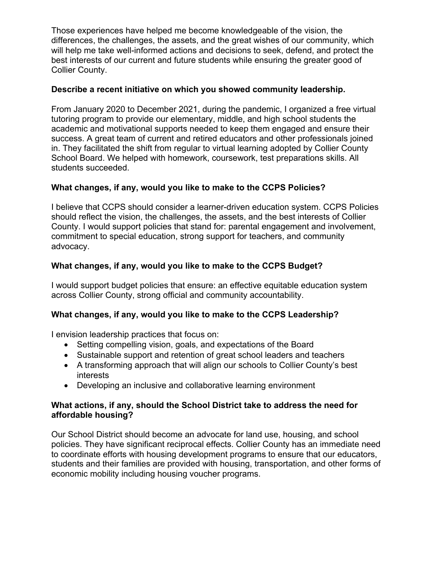Those experiences have helped me become knowledgeable of the vision, the differences, the challenges, the assets, and the great wishes of our community, which will help me take well-informed actions and decisions to seek, defend, and protect the best interests of our current and future students while ensuring the greater good of Collier County.

### **Describe a recent initiative on which you showed community leadership.**

From January 2020 to December 2021, during the pandemic, I organized a free virtual tutoring program to provide our elementary, middle, and high school students the academic and motivational supports needed to keep them engaged and ensure their success. A great team of current and retired educators and other professionals joined in. They facilitated the shift from regular to virtual learning adopted by Collier County School Board. We helped with homework, coursework, test preparations skills. All students succeeded.

# **What changes, if any, would you like to make to the CCPS Policies?**

I believe that CCPS should consider a learner-driven education system. CCPS Policies should reflect the vision, the challenges, the assets, and the best interests of Collier County. I would support policies that stand for: parental engagement and involvement, commitment to special education, strong support for teachers, and community advocacy.

# **What changes, if any, would you like to make to the CCPS Budget?**

I would support budget policies that ensure: an effective equitable education system across Collier County, strong official and community accountability.

# **What changes, if any, would you like to make to the CCPS Leadership?**

I envision leadership practices that focus on:

- Setting compelling vision, goals, and expectations of the Board
- Sustainable support and retention of great school leaders and teachers
- A transforming approach that will align our schools to Collier County's best interests
- Developing an inclusive and collaborative learning environment

### **What actions, if any, should the School District take to address the need for affordable housing?**

Our School District should become an advocate for land use, housing, and school policies. They have significant reciprocal effects. Collier County has an immediate need to coordinate efforts with housing development programs to ensure that our educators, students and their families are provided with housing, transportation, and other forms of economic mobility including housing voucher programs.